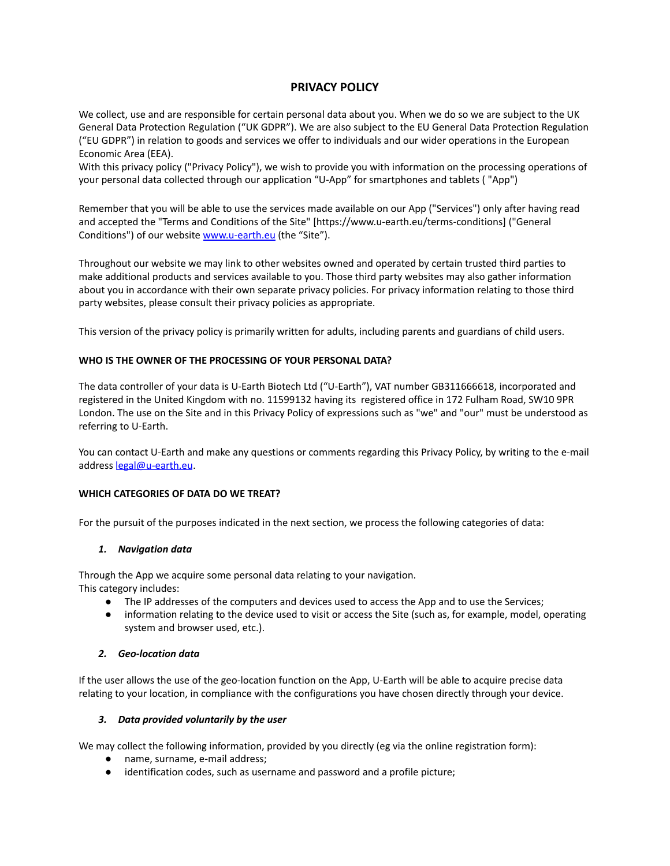# **PRIVACY POLICY**

We collect, use and are responsible for certain personal data about you. When we do so we are subject to the UK General Data Protection Regulation ("UK GDPR"). We are also subject to the EU General Data Protection Regulation ("EU GDPR") in relation to goods and services we offer to individuals and our wider operations in the European Economic Area (EEA).

With this privacy policy ("Privacy Policy"), we wish to provide you with information on the processing operations of your personal data collected through our application "U-App" for smartphones and tablets ( "App")

Remember that you will be able to use the services made available on our App ("Services") only after having read and accepted the "Terms and Conditions of the Site" [https://www.u-earth.eu/terms-conditions] ("General Conditions") of our website [www.u-earth.eu](http://www.u-earth.eu) (the "Site").

Throughout our website we may link to other websites owned and operated by certain trusted third parties to make additional products and services available to you. Those third party websites may also gather information about you in accordance with their own separate privacy policies. For privacy information relating to those third party websites, please consult their privacy policies as appropriate.

This version of the privacy policy is primarily written for adults, including parents and guardians of child users.

# **WHO IS THE OWNER OF THE PROCESSING OF YOUR PERSONAL DATA?**

The data controller of your data is U-Earth Biotech Ltd ("U-Earth"), VAT number GB311666618, incorporated and registered in the United Kingdom with no. 11599132 having its registered office in 172 Fulham Road, SW10 9PR London. The use on the Site and in this Privacy Policy of expressions such as "we" and "our" must be understood as referring to U-Earth.

You can contact U-Earth and make any questions or comments regarding this Privacy Policy, by writing to the e-mail address [legal@u-earth.eu](mailto:legal@u-earth.eu).

#### **WHICH CATEGORIES OF DATA DO WE TREAT?**

For the pursuit of the purposes indicated in the next section, we process the following categories of data:

#### *1. Navigation data*

Through the App we acquire some personal data relating to your navigation. This category includes:

- The IP addresses of the computers and devices used to access the App and to use the Services;
- information relating to the device used to visit or access the Site (such as, for example, model, operating system and browser used, etc.).

#### *2. Geo-location data*

If the user allows the use of the geo-location function on the App, U-Earth will be able to acquire precise data relating to your location, in compliance with the configurations you have chosen directly through your device.

# *3. Data provided voluntarily by the user*

We may collect the following information, provided by you directly (eg via the online registration form):

- name, surname, e-mail address;
- identification codes, such as username and password and a profile picture;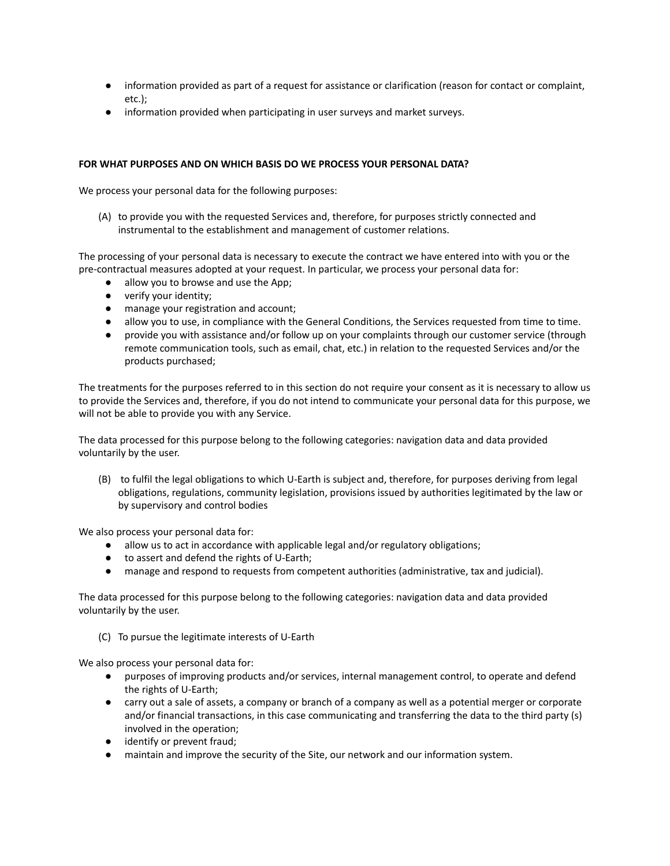- information provided as part of a request for assistance or clarification (reason for contact or complaint, etc.);
- information provided when participating in user surveys and market surveys.

# **FOR WHAT PURPOSES AND ON WHICH BASIS DO WE PROCESS YOUR PERSONAL DATA?**

We process your personal data for the following purposes:

(A) to provide you with the requested Services and, therefore, for purposes strictly connected and instrumental to the establishment and management of customer relations.

The processing of your personal data is necessary to execute the contract we have entered into with you or the pre-contractual measures adopted at your request. In particular, we process your personal data for:

- allow you to browse and use the App;
- verify your identity;
- manage your registration and account;
- allow you to use, in compliance with the General Conditions, the Services requested from time to time.
- provide you with assistance and/or follow up on your complaints through our customer service (through remote communication tools, such as email, chat, etc.) in relation to the requested Services and/or the products purchased;

The treatments for the purposes referred to in this section do not require your consent as it is necessary to allow us to provide the Services and, therefore, if you do not intend to communicate your personal data for this purpose, we will not be able to provide you with any Service.

The data processed for this purpose belong to the following categories: navigation data and data provided voluntarily by the user.

(B) to fulfil the legal obligations to which U-Earth is subject and, therefore, for purposes deriving from legal obligations, regulations, community legislation, provisions issued by authorities legitimated by the law or by supervisory and control bodies

We also process your personal data for:

- allow us to act in accordance with applicable legal and/or regulatory obligations;
- to assert and defend the rights of U-Earth;
- manage and respond to requests from competent authorities (administrative, tax and judicial).

The data processed for this purpose belong to the following categories: navigation data and data provided voluntarily by the user.

(C) To pursue the legitimate interests of U-Earth

We also process your personal data for:

- purposes of improving products and/or services, internal management control, to operate and defend the rights of U-Earth;
- carry out a sale of assets, a company or branch of a company as well as a potential merger or corporate and/or financial transactions, in this case communicating and transferring the data to the third party (s) involved in the operation;
- identify or prevent fraud;
- maintain and improve the security of the Site, our network and our information system.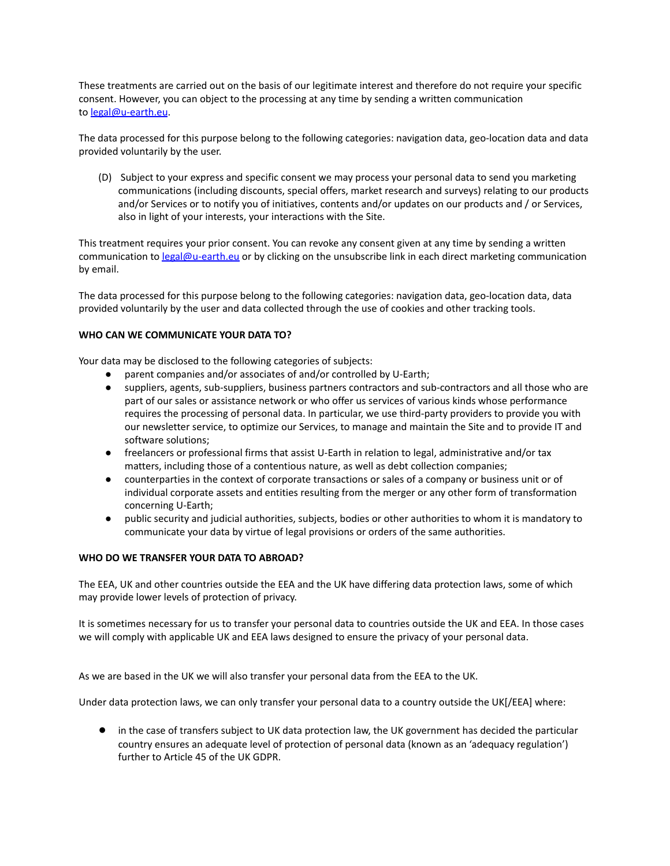These treatments are carried out on the basis of our legitimate interest and therefore do not require your specific consent. However, you can object to the processing at any time by sending a written communication to [legal@u-earth.eu](mailto:legal@u-earth.eu).

The data processed for this purpose belong to the following categories: navigation data, geo-location data and data provided voluntarily by the user.

(D) Subject to your express and specific consent we may process your personal data to send you marketing communications (including discounts, special offers, market research and surveys) relating to our products and/or Services or to notify you of initiatives, contents and/or updates on our products and / or Services, also in light of your interests, your interactions with the Site.

This treatment requires your prior consent. You can revoke any consent given at any time by sending a written communication to [legal@u-earth.eu](mailto:legal@u-earth.eu) or by clicking on the unsubscribe link in each direct marketing communication by email.

The data processed for this purpose belong to the following categories: navigation data, geo-location data, data provided voluntarily by the user and data collected through the use of cookies and other tracking tools.

### **WHO CAN WE COMMUNICATE YOUR DATA TO?**

Your data may be disclosed to the following categories of subjects:

- parent companies and/or associates of and/or controlled by U-Earth;
- suppliers, agents, sub-suppliers, business partners contractors and sub-contractors and all those who are part of our sales or assistance network or who offer us services of various kinds whose performance requires the processing of personal data. In particular, we use third-party providers to provide you with our newsletter service, to optimize our Services, to manage and maintain the Site and to provide IT and software solutions;
- freelancers or professional firms that assist U-Earth in relation to legal, administrative and/or tax matters, including those of a contentious nature, as well as debt collection companies;
- counterparties in the context of corporate transactions or sales of a company or business unit or of individual corporate assets and entities resulting from the merger or any other form of transformation concerning U-Earth;
- public security and judicial authorities, subjects, bodies or other authorities to whom it is mandatory to communicate your data by virtue of legal provisions or orders of the same authorities.

#### **WHO DO WE TRANSFER YOUR DATA TO ABROAD?**

The EEA, UK and other countries outside the EEA and the UK have differing data protection laws, some of which may provide lower levels of protection of privacy.

It is sometimes necessary for us to transfer your personal data to countries outside the UK and EEA. In those cases we will comply with applicable UK and EEA laws designed to ensure the privacy of your personal data.

As we are based in the UK we will also transfer your personal data from the EEA to the UK.

Under data protection laws, we can only transfer your personal data to a country outside the UK[/EEA] where:

● in the case of transfers subject to UK data protection law, the UK government has decided the particular country ensures an adequate level of protection of personal data (known as an 'adequacy regulation') further to Article 45 of the UK GDPR.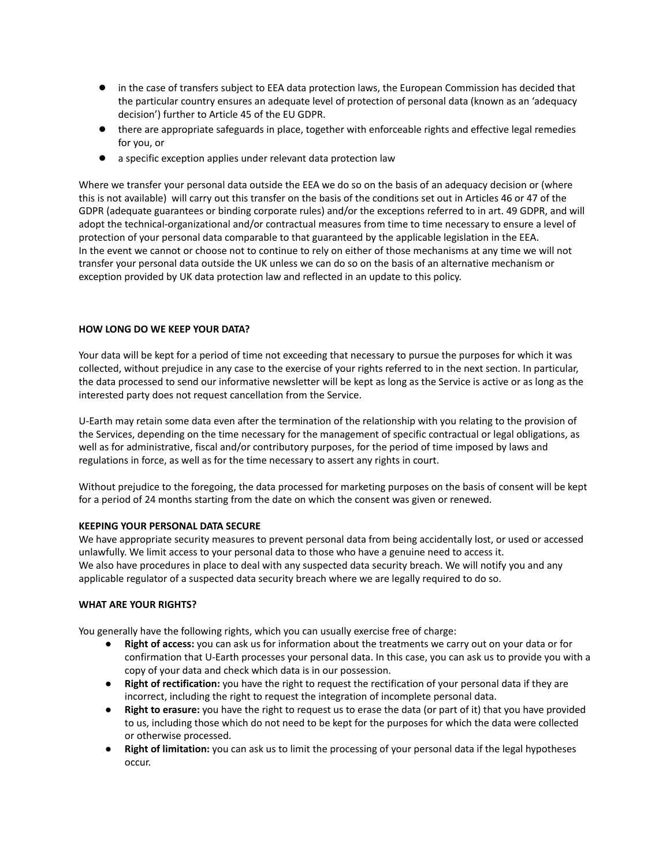- in the case of transfers subject to EEA data protection laws, the European Commission has decided that the particular country ensures an adequate level of protection of personal data (known as an 'adequacy decision') further to Article 45 of the EU GDPR.
- there are appropriate safeguards in place, together with enforceable rights and effective legal remedies for you, or
- a specific exception applies under relevant data protection law

Where we transfer your personal data outside the EEA we do so on the basis of an adequacy decision or (where this is not available) will carry out this transfer on the basis of the conditions set out in Articles 46 or 47 of the GDPR (adequate guarantees or binding corporate rules) and/or the exceptions referred to in art. 49 GDPR, and will adopt the technical-organizational and/or contractual measures from time to time necessary to ensure a level of protection of your personal data comparable to that guaranteed by the applicable legislation in the EEA. In the event we cannot or choose not to continue to rely on either of those mechanisms at any time we will not transfer your personal data outside the UK unless we can do so on the basis of an alternative mechanism or exception provided by UK data protection law and reflected in an update to this policy.

### **HOW LONG DO WE KEEP YOUR DATA?**

Your data will be kept for a period of time not exceeding that necessary to pursue the purposes for which it was collected, without prejudice in any case to the exercise of your rights referred to in the next section. In particular, the data processed to send our informative newsletter will be kept as long as the Service is active or as long as the interested party does not request cancellation from the Service.

U-Earth may retain some data even after the termination of the relationship with you relating to the provision of the Services, depending on the time necessary for the management of specific contractual or legal obligations, as well as for administrative, fiscal and/or contributory purposes, for the period of time imposed by laws and regulations in force, as well as for the time necessary to assert any rights in court.

Without prejudice to the foregoing, the data processed for marketing purposes on the basis of consent will be kept for a period of 24 months starting from the date on which the consent was given or renewed.

# **KEEPING YOUR PERSONAL DATA SECURE**

We have appropriate security measures to prevent personal data from being accidentally lost, or used or accessed unlawfully. We limit access to your personal data to those who have a genuine need to access it. We also have procedures in place to deal with any suspected data security breach. We will notify you and any applicable regulator of a suspected data security breach where we are legally required to do so.

#### **WHAT ARE YOUR RIGHTS?**

You generally have the following rights, which you can usually exercise free of charge:

- **Right of access:** you can ask us for information about the treatments we carry out on your data or for confirmation that U-Earth processes your personal data. In this case, you can ask us to provide you with a copy of your data and check which data is in our possession.
- **Right of rectification:** you have the right to request the rectification of your personal data if they are incorrect, including the right to request the integration of incomplete personal data.
- **Right to erasure:** you have the right to request us to erase the data (or part of it) that you have provided to us, including those which do not need to be kept for the purposes for which the data were collected or otherwise processed.
- **Right of limitation:** you can ask us to limit the processing of your personal data if the legal hypotheses occur.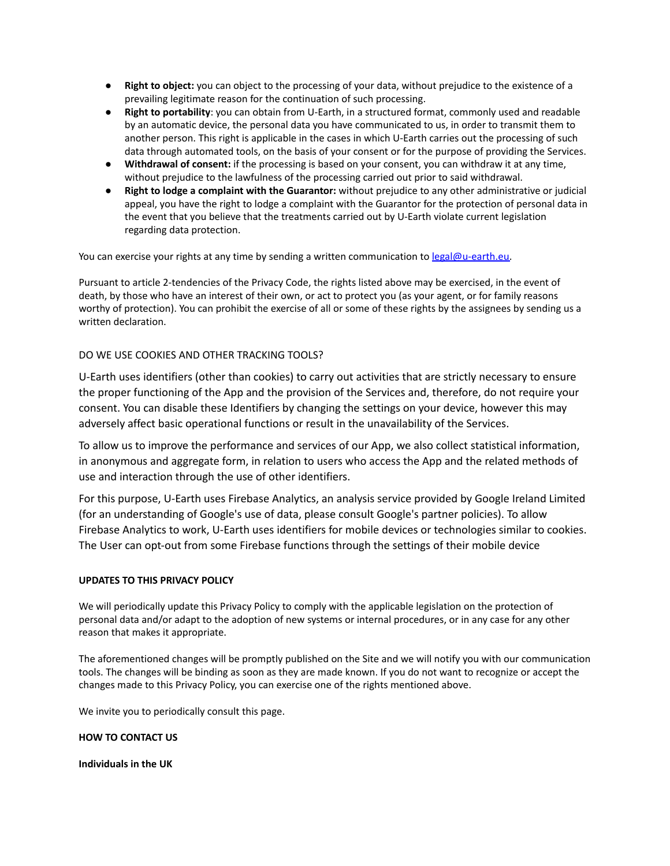- **Right to object:** you can object to the processing of your data, without prejudice to the existence of a prevailing legitimate reason for the continuation of such processing.
- **Right to portability**: you can obtain from U-Earth, in a structured format, commonly used and readable by an automatic device, the personal data you have communicated to us, in order to transmit them to another person. This right is applicable in the cases in which U-Earth carries out the processing of such data through automated tools, on the basis of your consent or for the purpose of providing the Services.
- **Withdrawal of consent:** if the processing is based on your consent, you can withdraw it at any time, without prejudice to the lawfulness of the processing carried out prior to said withdrawal.
- **Right to lodge a complaint with the Guarantor:** without prejudice to any other administrative or judicial appeal, you have the right to lodge a complaint with the Guarantor for the protection of personal data in the event that you believe that the treatments carried out by U-Earth violate current legislation regarding data protection.

You can exercise your rights at any time by sending a written communication to [legal@u-earth.eu.](mailto:legal@u-earth.eu)

Pursuant to article 2-tendencies of the Privacy Code, the rights listed above may be exercised, in the event of death, by those who have an interest of their own, or act to protect you (as your agent, or for family reasons worthy of protection). You can prohibit the exercise of all or some of these rights by the assignees by sending us a written declaration.

# DO WE USE COOKIES AND OTHER TRACKING TOOLS?

U-Earth uses identifiers (other than cookies) to carry out activities that are strictly necessary to ensure the proper functioning of the App and the provision of the Services and, therefore, do not require your consent. You can disable these Identifiers by changing the settings on your device, however this may adversely affect basic operational functions or result in the unavailability of the Services.

To allow us to improve the performance and services of our App, we also collect statistical information, in anonymous and aggregate form, in relation to users who access the App and the related methods of use and interaction through the use of other identifiers.

For this purpose, U-Earth uses Firebase Analytics, an analysis service provided by Google Ireland Limited (for an understanding of Google's use of data, please consult Google's partner policies). To allow Firebase Analytics to work, U-Earth uses identifiers for mobile devices or technologies similar to cookies. The User can opt-out from some Firebase functions through the settings of their mobile device

# **UPDATES TO THIS PRIVACY POLICY**

We will periodically update this Privacy Policy to comply with the applicable legislation on the protection of personal data and/or adapt to the adoption of new systems or internal procedures, or in any case for any other reason that makes it appropriate.

The aforementioned changes will be promptly published on the Site and we will notify you with our communication tools. The changes will be binding as soon as they are made known. If you do not want to recognize or accept the changes made to this Privacy Policy, you can exercise one of the rights mentioned above.

We invite you to periodically consult this page.

# **HOW TO CONTACT US**

**Individuals in the UK**